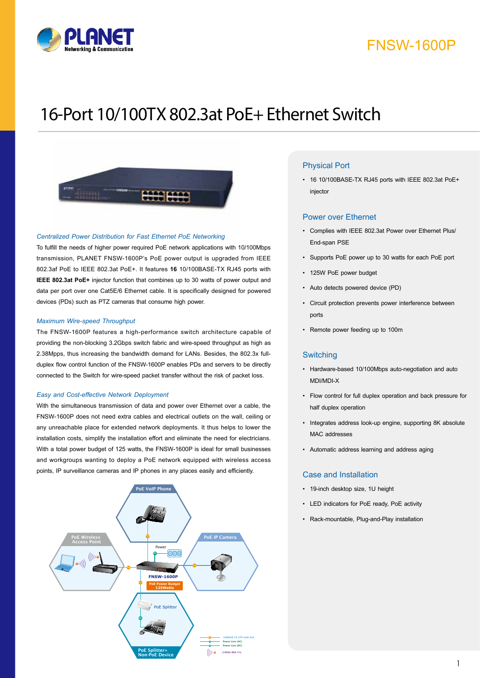

# FNSW-1600P

# 16-Port 10/100TX 802.3at PoE+ Ethernet Switch



#### *Centralized Power Distribution for Fast Ethernet PoE Networking*

To fulfill the needs of higher power required PoE network applications with 10/100Mbps transmission, PLANET FNSW-1600P's PoE power output is upgraded from IEEE 802.3af PoE to IEEE 802.3at PoE+. It features **16** 10/100BASE-TX RJ45 ports with **IEEE 802.3at PoE+** injector function that combines up to 30 watts of power output and data per port over one Cat5E/6 Ethernet cable. It is specifically designed for powered devices (PDs) such as PTZ cameras that consume high power.

#### *Maximum Wire-speed Throughput*

The FNSW-1600P features a high-performance switch architecture capable of providing the non-blocking 3.2Gbps switch fabric and wire-speed throughput as high as 2.38Mpps, thus increasing the bandwidth demand for LANs. Besides, the 802.3x fullduplex flow control function of the FNSW-1600P enables PDs and servers to be directly connected to the Switch for wire-speed packet transfer without the risk of packet loss.

#### *Easy and Cost-effective Network Deployment*

With the simultaneous transmission of data and power over Ethernet over a cable, the FNSW-1600P does not need extra cables and electrical outlets on the wall, ceiling or any unreachable place for extended network deployments. It thus helps to lower the installation costs, simplify the installation effort and eliminate the need for electricians. With a total power budget of 125 watts, the FNSW-1600P is ideal for small businesses and workgroups wanting to deploy a PoE network equipped with wireless access points, IP surveillance cameras and IP phones in any places easily and efficiently.



### Physical Port

• 16 10/100BASE-TX RJ45 ports with IEEE 802.3at PoE+ injector

#### Power over Ethernet

- • Complies with IEEE 802.3at Power over Ethernet Plus/ End-span PSE
- • Supports PoE power up to 30 watts for each PoE port
- 125W PoE power budget
- • Auto detects powered device (PD)
- • Circuit protection prevents power interference between ports
- • Remote power feeding up to 100m

#### **Switching**

- • Hardware-based 10/100Mbps auto-negotiation and auto MDI/MDI-X
- • Flow control for full duplex operation and back pressure for half duplex operation
- • Integrates address look-up engine, supporting 8K absolute MAC addresses
- • Automatic address learning and address aging

#### Case and Installation

- • 19-inch desktop size, 1U height
- • LED indicators for PoE ready, PoE activity
- • Rack-mountable, Plug-and-Play installation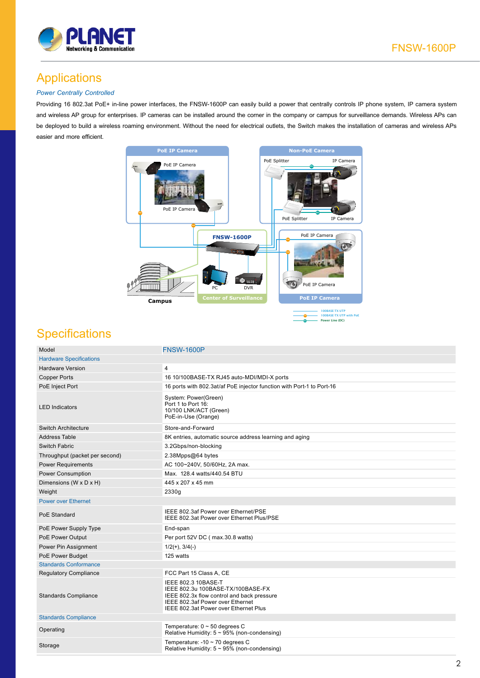

# Applications

### *Power Centrally Controlled*

Providing 16 802.3at PoE+ in-line power interfaces, the FNSW-1600P can easily build a power that centrally controls IP phone system, IP camera system and wireless AP group for enterprises. IP cameras can be installed around the corner in the company or campus for surveillance demands. Wireless APs can be deployed to build a wireless roaming environment. Without the need for electrical outlets, the Switch makes the installation of cameras and wireless APs easier and more efficient.



## **Specifications**

| Model                          | <b>FNSW-1600P</b>                                                                                                                                                                   |  |
|--------------------------------|-------------------------------------------------------------------------------------------------------------------------------------------------------------------------------------|--|
| <b>Hardware Specifications</b> |                                                                                                                                                                                     |  |
| <b>Hardware Version</b>        | 4                                                                                                                                                                                   |  |
| <b>Copper Ports</b>            | 16 10/100BASE-TX RJ45 auto-MDI/MDI-X ports                                                                                                                                          |  |
| PoE Inject Port                | 16 ports with 802.3at/af PoE injector function with Port-1 to Port-16                                                                                                               |  |
| <b>LED Indicators</b>          | System: Power(Green)<br>Port 1 to Port 16:<br>10/100 LNK/ACT (Green)<br>PoE-in-Use (Orange)                                                                                         |  |
| <b>Switch Architecture</b>     | Store-and-Forward                                                                                                                                                                   |  |
| <b>Address Table</b>           | 8K entries, automatic source address learning and aging                                                                                                                             |  |
| Switch Fabric                  | 3.2Gbps/non-blocking                                                                                                                                                                |  |
| Throughput (packet per second) | 2.38Mpps@64 bytes                                                                                                                                                                   |  |
| <b>Power Requirements</b>      | AC 100~240V, 50/60Hz, 2A max.                                                                                                                                                       |  |
| <b>Power Consumption</b>       | Max. 128.4 watts/440.54 BTU                                                                                                                                                         |  |
| Dimensions (W x D x H)         | 445 x 207 x 45 mm                                                                                                                                                                   |  |
| Weight                         | 2330g                                                                                                                                                                               |  |
| <b>Power over Ethernet</b>     |                                                                                                                                                                                     |  |
| PoE Standard                   | IEEE 802.3af Power over Ethernet/PSE<br>IEEE 802.3at Power over Ethernet Plus/PSE                                                                                                   |  |
| PoE Power Supply Type          | End-span                                                                                                                                                                            |  |
| PoE Power Output               | Per port 52V DC (max.30.8 watts)                                                                                                                                                    |  |
| Power Pin Assignment           | $1/2(+), 3/4(-)$                                                                                                                                                                    |  |
| PoE Power Budget               | 125 watts                                                                                                                                                                           |  |
| <b>Standards Conformance</b>   |                                                                                                                                                                                     |  |
| <b>Regulatory Compliance</b>   | FCC Part 15 Class A, CE                                                                                                                                                             |  |
| <b>Standards Compliance</b>    | IEEE 802.3 10BASE-T<br>IEEE 802.3u 100BASE-TX/100BASE-FX<br>IEEE 802.3x flow control and back pressure<br>IEEE 802.3af Power over Ethernet<br>IEEE 802.3at Power over Ethernet Plus |  |
| <b>Standards Compliance</b>    |                                                                                                                                                                                     |  |
| Operating                      | Temperature: $0 \sim 50$ degrees C<br>Relative Humidity: $5 \sim 95\%$ (non-condensing)                                                                                             |  |
| Storage                        | Temperature: $-10 \sim 70$ degrees C<br>Relative Humidity: $5 \sim 95\%$ (non-condensing)                                                                                           |  |
|                                |                                                                                                                                                                                     |  |